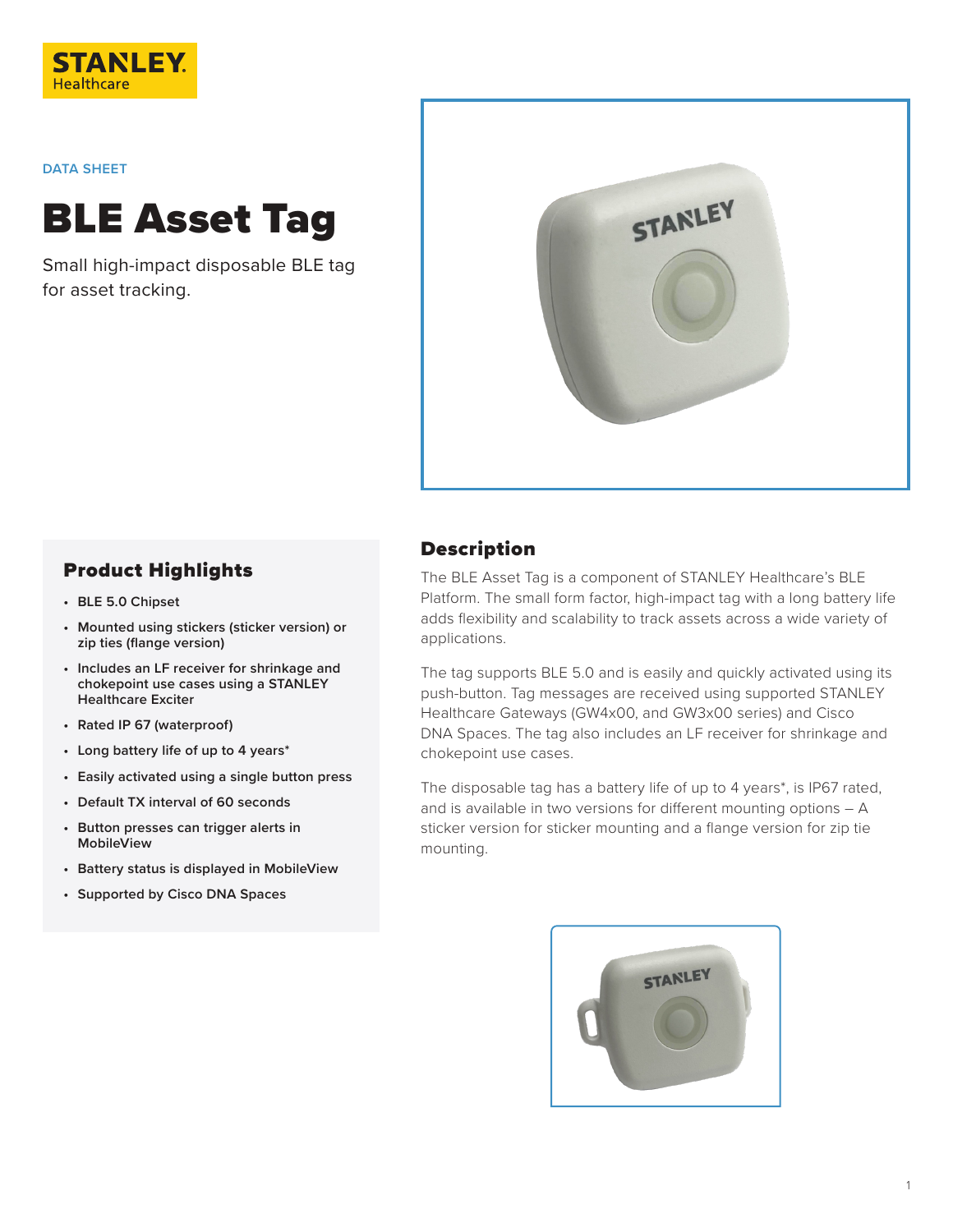

## **DATA SHEET**

BLE Asset Tag

Small high-impact disposable BLE tag for asset tracking.



## Product Highlights

- **• BLE 5.0 Chipset**
- **• Mounted using stickers (sticker version) or zip ties (flange version)**
- **• Includes an LF receiver for shrinkage and chokepoint use cases using a STANLEY Healthcare Exciter**
- **• Rated IP 67 (waterproof)**
- **• Long battery life of up to 4 years\***
- **• Easily activated using a single button press**
- **• Default TX interval of 60 seconds**
- **• Button presses can trigger alerts in MobileView**
- **• Battery status is displayed in MobileView**
- **• Supported by Cisco DNA Spaces**

## Description

The BLE Asset Tag is a component of STANLEY Healthcare's BLE Platform. The small form factor, high-impact tag with a long battery life adds flexibility and scalability to track assets across a wide variety of applications.

The tag supports BLE 5.0 and is easily and quickly activated using its push-button. Tag messages are received using supported STANLEY Healthcare Gateways (GW4x00, and GW3x00 series) and Cisco DNA Spaces. The tag also includes an LF receiver for shrinkage and chokepoint use cases.

The disposable tag has a battery life of up to 4 years\*, is IP67 rated, and is available in two versions for different mounting options – A sticker version for sticker mounting and a flange version for zip tie mounting.